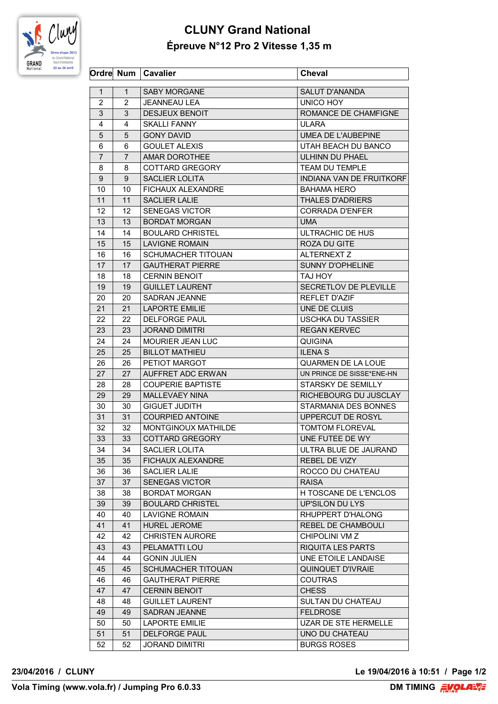

## **CLUNY Grand National Épreuve N°12 Pro 2 Vitesse 1,35 m**

|                |                | Ordre Num   Cavalier                | <b>Cheval</b>             |
|----------------|----------------|-------------------------------------|---------------------------|
| $\mathbf{1}$   | $\mathbf{1}$   | <b>SABY MORGANE</b>                 | <b>SALUT D'ANANDA</b>     |
| 2              | 2              | JEANNEAU LEA                        | UNICO HOY                 |
| 3              | 3              | <b>DESJEUX BENOIT</b>               | ROMANCE DE CHAMFIGNE      |
| 4              | 4              | <b>SKALLI FANNY</b>                 | <b>ULARA</b>              |
| 5              | 5              | <b>GONY DAVID</b>                   | UMEA DE L'AUBEPINE        |
| 6              | 6              | <b>GOULET ALEXIS</b>                | UTAH BEACH DU BANCO       |
| $\overline{7}$ | $\overline{7}$ | AMAR DOROTHEE                       | <b>ULHINN DU PHAEL</b>    |
| 8              | 8              | COTTARD GREGORY                     | <b>TEAM DU TEMPLE</b>     |
|                |                |                                     | INDIANA VAN DE FRUITKORF  |
| 9<br>10        | 9<br>10        | SACLIER LOLITA<br>FICHAUX ALEXANDRE | <b>BAHAMA HERO</b>        |
| 11             | 11             |                                     |                           |
|                |                | <b>SACLIER LALIE</b>                | <b>THALES D'ADRIERS</b>   |
| 12             | 12             | SENEGAS VICTOR                      | CORRADA D'ENFER           |
| 13             | 13             | <b>BORDAT MORGAN</b>                | <b>UMA</b>                |
| 14             | 14             | <b>BOULARD CHRISTEL</b>             | ULTRACHIC DE HUS          |
| 15             | 15             | <b>LAVIGNE ROMAIN</b>               | ROZA DU GITE              |
| 16             | 16             | <b>SCHUMACHER TITOUAN</b>           | <b>ALTERNEXT Z</b>        |
| 17             | 17             | <b>GAUTHERAT PIERRE</b>             | SUNNY D'OPHELINE          |
| 18             | 18             | <b>CERNIN BENOIT</b>                | TAJ HOY                   |
| 19             | 19             | <b>GUILLET LAURENT</b>              | SECRETLOV DE PLEVILLE     |
| 20             | 20             | SADRAN JEANNE                       | <b>REFLET D'AZIF</b>      |
| 21             | 21             | <b>LAPORTE EMILIE</b>               | UNE DE CLUIS              |
| 22             | 22.            | <b>DELFORGE PAUL</b>                | <b>USCHKA DU TASSIER</b>  |
| 23             | 23             | <b>JORAND DIMITRI</b>               | <b>REGAN KERVEC</b>       |
| 24             | 24             | <b>MOURIER JEAN LUC</b>             | <b>QUIGINA</b>            |
| 25             | 25             | <b>BILLOT MATHIEU</b>               | <b>ILENA S</b>            |
| 26             | 26             | PETIOT MARGOT                       | <b>QUARMEN DE LA LOUE</b> |
| 27             | 27             | AUFFRET ADC ERWAN                   | UN PRINCE DE SISSE*ENE-HN |
| 28             | 28             | <b>COUPERIE BAPTISTE</b>            | STARSKY DE SEMILLY        |
| 29             | 29             | <b>MALLEVAEY NINA</b>               | RICHEBOURG DU JUSCLAY     |
| 30             | 30             | <b>GIGUET JUDITH</b>                | STARMANIA DES BONNES      |
| 31             | 31             | <b>COURPIED ANTOINE</b>             | UPPERCUT DE ROSYL         |
| 32             | 32             | <b>MONTGINOUX MATHILDE</b>          | <b>TOMTOM FLOREVAL</b>    |
| 33             | 33             | <b>COTTARD GREGORY</b>              | UNE FUTEE DE WY           |
| 34             | 34             | SACLIER LOLITA                      | ULTRA BLUE DE JAURAND     |
| 35             | 35             | <b>FICHAUX ALEXANDRE</b>            | REBEL DE VIZY             |
| 36             | 36             | <b>SACLIER LALIE</b>                | ROCCO DU CHATEAU          |
| 37             | 37             | <b>SENEGAS VICTOR</b>               | <b>RAISA</b>              |
|                |                |                                     | H TOSCANE DE L'ENCLOS     |
| 38             | 38             | <b>BORDAT MORGAN</b>                |                           |
| 39             | 39             | <b>BOULARD CHRISTEL</b>             | UP'SILON DU LYS           |
| 40             | 40             | <b>LAVIGNE ROMAIN</b>               | RHUPPERT D'HALONG         |
| 41             | 41             | HUREL JEROME                        | REBEL DE CHAMBOULI        |
| 42             | 42             | <b>CHRISTEN AURORE</b>              | CHIPOLINI VM Z            |
| 43             | 43             | PELAMATTI LOU                       | RIQUITA LES PARTS         |
| 44             | 44             | <b>GONIN JULIEN</b>                 | UNE ETOILE LANDAISE       |
| 45             | 45             | SCHUMACHER TITOUAN                  | QUINQUET D'IVRAIE         |
| 46             | 46             | <b>GAUTHERAT PIERRE</b>             | <b>COUTRAS</b>            |
| 47             | 47             | <b>CERNIN BENOIT</b>                | <b>CHESS</b>              |
| 48             | 48             | <b>GUILLET LAURENT</b>              | SULTAN DU CHATEAU         |
| 49             | 49             | SADRAN JEANNE                       | <b>FELDROSE</b>           |
| 50             | 50             | <b>LAPORTE EMILIE</b>               | UZAR DE STE HERMELLE      |
| 51             | 51             | <b>DELFORGE PAUL</b>                | UNO DU CHATEAU            |
| 52             | 52             | <b>JORAND DIMITRI</b>               | <b>BURGS ROSES</b>        |

**23/04/2016 / CLUNY Le 19/04/2016 à 10:51 / Page 1/2**